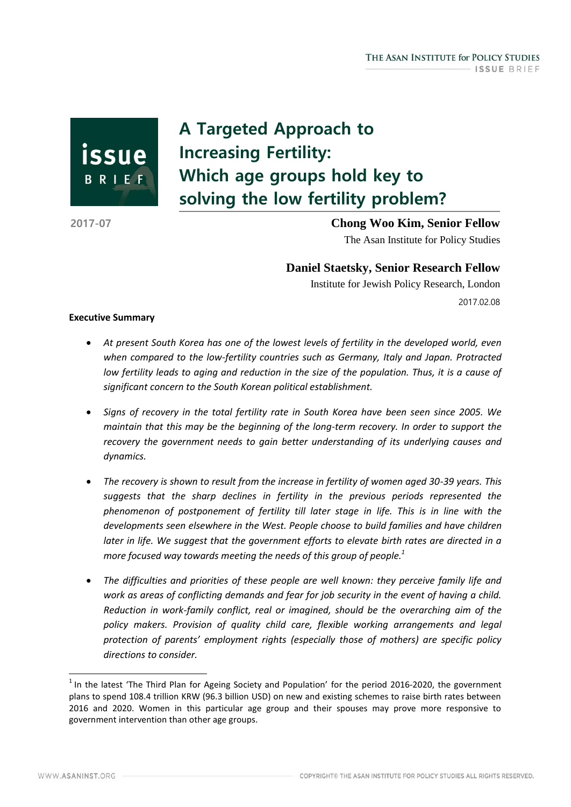issue BRIEF

# A Targeted Approach to Increasing Fertility: Which age groups hold key to solving the low fertility problem?

2017-07 **Chong Woo Kim, Senior Fellow** The Asan Institute for Policy Studies

**Daniel Staetsky, Senior Research Fellow**

Institute for Jewish Policy Research, London 2017.02.08

# **Executive Summary**

- *At present South Korea has one of the lowest levels of fertility in the developed world, even when compared to the low-fertility countries such as Germany, Italy and Japan. Protracted low fertility leads to aging and reduction in the size of the population. Thus, it is a cause of significant concern to the South Korean political establishment.*
- *Signs of recovery in the total fertility rate in South Korea have been seen since 2005. We maintain that this may be the beginning of the long-term recovery. In order to support the recovery the government needs to gain better understanding of its underlying causes and dynamics.*
- *The recovery is shown to result from the increase in fertility of women aged 30-39 years. This suggests that the sharp declines in fertility in the previous periods represented the phenomenon of postponement of fertility till later stage in life. This is in line with the developments seen elsewhere in the West. People choose to build families and have children later in life. We suggest that the government efforts to elevate birth rates are directed in a more focused way towards meeting the needs of this group of people.<sup>1</sup>*
- *The difficulties and priorities of these people are well known: they perceive family life and work as areas of conflicting demands and fear for job security in the event of having a child. Reduction in work-family conflict, real or imagined, should be the overarching aim of the policy makers. Provision of quality child care, flexible working arrangements and legal protection of parents' employment rights (especially those of mothers) are specific policy directions to consider.*

 $<sup>1</sup>$  In the latest 'The Third Plan for Ageing Society and Population' for the period 2016-2020, the government</sup> plans to spend 108.4 trillion KRW (96.3 billion USD) on new and existing schemes to raise birth rates between 2016 and 2020. Women in this particular age group and their spouses may prove more responsive to government intervention than other age groups.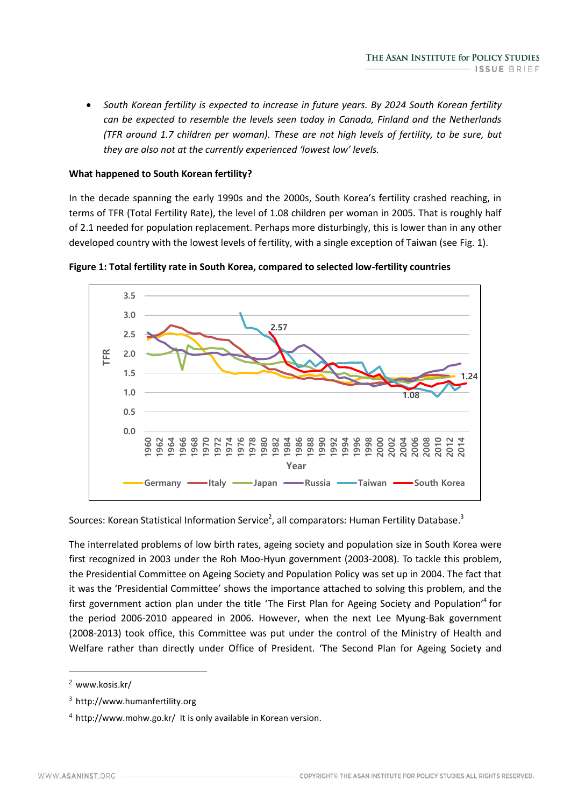*South Korean fertility is expected to increase in future years. By 2024 South Korean fertility can be expected to resemble the levels seen today in Canada, Finland and the Netherlands (TFR around 1.7 children per woman). These are not high levels of fertility, to be sure, but they are also not at the currently experienced 'lowest low' levels.*

#### **What happened to South Korean fertility?**

In the decade spanning the early 1990s and the 2000s, South Korea's fertility crashed reaching, in terms of TFR (Total Fertility Rate), the level of 1.08 children per woman in 2005. That is roughly half of 2.1 needed for population replacement. Perhaps more disturbingly, this is lower than in any other developed country with the lowest levels of fertility, with a single exception of Taiwan (see Fig. 1).





Sources: Korean Statistical Information Service<sup>2</sup>, all comparators: Human Fertility Database.<sup>3</sup>

The interrelated problems of low birth rates, ageing society and population size in South Korea were first recognized in 2003 under the Roh Moo-Hyun government (2003-2008). To tackle this problem, the Presidential Committee on Ageing Society and Population Policy was set up in 2004. The fact that it was the 'Presidential Committee' shows the importance attached to solving this problem, and the first government action plan under the title 'The First Plan for Ageing Society and Population'<sup>4</sup> for the period 2006-2010 appeared in 2006. However, when the next Lee Myung-Bak government (2008-2013) took office, this Committee was put under the control of the Ministry of Health and Welfare rather than directly under Office of President. 'The Second Plan for Ageing Society and

<sup>2</sup> www.kosis.kr/

<sup>3</sup> http://www.humanfertility.org

<sup>4</sup> http://www.mohw.go.kr/ It is only available in Korean version.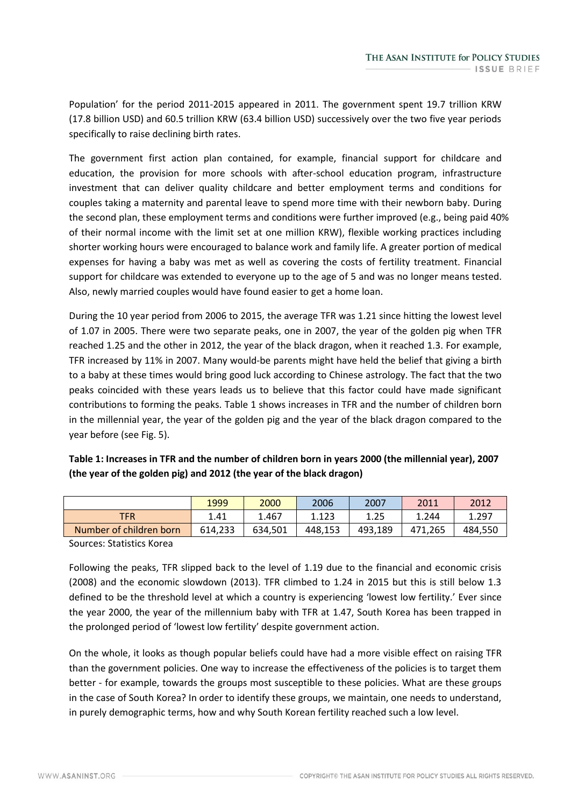Population' for the period 2011-2015 appeared in 2011. The government spent 19.7 trillion KRW (17.8 billion USD) and 60.5 trillion KRW (63.4 billion USD) successively over the two five year periods specifically to raise declining birth rates.

The government first action plan contained, for example, financial support for childcare and education, the provision for more schools with after-school education program, infrastructure investment that can deliver quality childcare and better employment terms and conditions for couples taking a maternity and parental leave to spend more time with their newborn baby. During the second plan, these employment terms and conditions were further improved (e.g., being paid 40% of their normal income with the limit set at one million KRW), flexible working practices including shorter working hours were encouraged to balance work and family life. A greater portion of medical expenses for having a baby was met as well as covering the costs of fertility treatment. Financial support for childcare was extended to everyone up to the age of 5 and was no longer means tested. Also, newly married couples would have found easier to get a home loan.

During the 10 year period from 2006 to 2015, the average TFR was 1.21 since hitting the lowest level of 1.07 in 2005. There were two separate peaks, one in 2007, the year of the golden pig when TFR reached 1.25 and the other in 2012, the year of the black dragon, when it reached 1.3. For example, TFR increased by 11% in 2007. Many would-be parents might have held the belief that giving a birth to a baby at these times would bring good luck according to Chinese astrology. The fact that the two peaks coincided with these years leads us to believe that this factor could have made significant contributions to forming the peaks. Table 1 shows increases in TFR and the number of children born in the millennial year, the year of the golden pig and the year of the black dragon compared to the year before (see Fig. 5).

| Table 1: Increases in TFR and the number of children born in years 2000 (the millennial year), 2007 |
|-----------------------------------------------------------------------------------------------------|
| (the year of the golden pig) and 2012 (the year of the black dragon)                                |

|                         | 1999    | 2000    | 2006    | 2007    | 2011    | 2012    |
|-------------------------|---------|---------|---------|---------|---------|---------|
| <b>TFR</b>              | 1.41    | 467.ء   | 1.123   | 1.25    | 4.244   | 1.297   |
| Number of children born | 614,233 | 634,501 | 448.153 | 493,189 | 471.265 | 484,550 |

Sources: Statistics Korea

Following the peaks, TFR slipped back to the level of 1.19 due to the financial and economic crisis (2008) and the economic slowdown (2013). TFR climbed to 1.24 in 2015 but this is still below 1.3 defined to be the threshold level at which a country is experiencing 'lowest low fertility.' Ever since the year 2000, the year of the millennium baby with TFR at 1.47, South Korea has been trapped in the prolonged period of 'lowest low fertility' despite government action.

On the whole, it looks as though popular beliefs could have had a more visible effect on raising TFR than the government policies. One way to increase the effectiveness of the policies is to target them better - for example, towards the groups most susceptible to these policies. What are these groups in the case of South Korea? In order to identify these groups, we maintain, one needs to understand, in purely demographic terms, how and why South Korean fertility reached such a low level.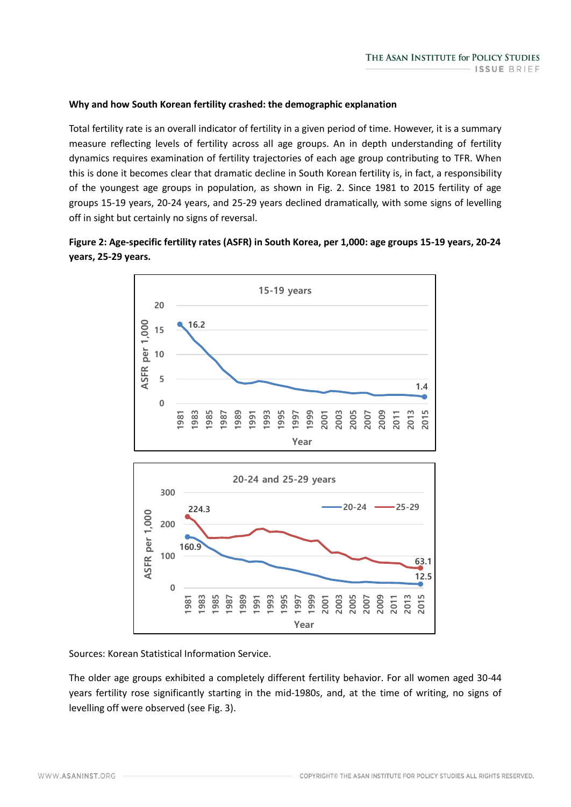# **Why and how South Korean fertility crashed: the demographic explanation**

Total fertility rate is an overall indicator of fertility in a given period of time. However, it is a summary measure reflecting levels of fertility across all age groups. An in depth understanding of fertility dynamics requires examination of fertility trajectories of each age group contributing to TFR. When this is done it becomes clear that dramatic decline in South Korean fertility is, in fact, a responsibility of the youngest age groups in population, as shown in Fig. 2. Since 1981 to 2015 fertility of age groups 15-19 years, 20-24 years, and 25-29 years declined dramatically, with some signs of levelling off in sight but certainly no signs of reversal.





Sources: Korean Statistical Information Service.

The older age groups exhibited a completely different fertility behavior. For all women aged 30-44 years fertility rose significantly starting in the mid-1980s, and, at the time of writing, no signs of levelling off were observed (see Fig. 3).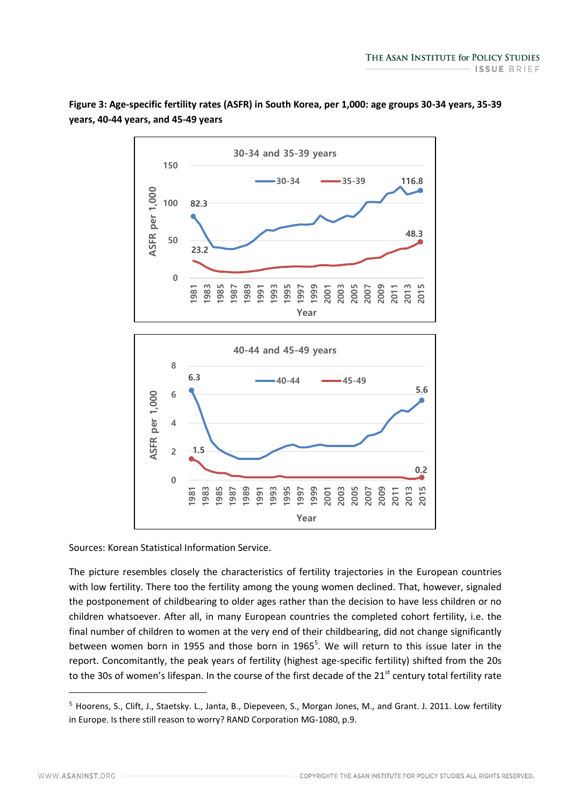

**Figure 3: Age-specific fertility rates (ASFR) in South Korea, per 1,000: age groups 30-34 years, 35-39 years, 40-44 years, and 45-49 years**

Sources: Korean Statistical Information Service.

The picture resembles closely the characteristics of fertility trajectories in the European countries with low fertility. There too the fertility among the young women declined. That, however, signaled the postponement of childbearing to older ages rather than the decision to have less children or no children whatsoever. After all, in many European countries the completed cohort fertility, i.e. the final number of children to women at the very end of their childbearing, did not change significantly between women born in 1955 and those born in 1965<sup>5</sup>. We will return to this issue later in the report. Concomitantly, the peak years of fertility (highest age-specific fertility) shifted from the 20s to the 30s of women's lifespan. In the course of the first decade of the 21<sup>st</sup> century total fertility rate

Year

<sup>5</sup> Hoorens, S., Clift, J., Staetsky. L., Janta, B., Diepeveen, S., Morgan Jones, M., and Grant. J. 2011. Low fertility in Europe. Is there still reason to worry? RAND Corporation MG-1080, p.9.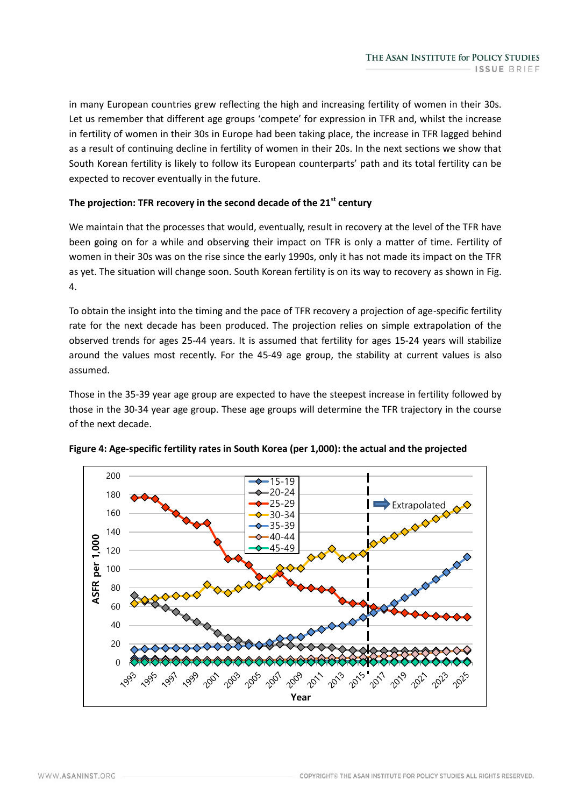in many European countries grew reflecting the high and increasing fertility of women in their 30s. Let us remember that different age groups 'compete' for expression in TFR and, whilst the increase in fertility of women in their 30s in Europe had been taking place, the increase in TFR lagged behind as a result of continuing decline in fertility of women in their 20s. In the next sections we show that South Korean fertility is likely to follow its European counterparts' path and its total fertility can be expected to recover eventually in the future.

# **The projection: TFR recovery in the second decade of the 21st century**

We maintain that the processes that would, eventually, result in recovery at the level of the TFR have been going on for a while and observing their impact on TFR is only a matter of time. Fertility of women in their 30s was on the rise since the early 1990s, only it has not made its impact on the TFR as yet. The situation will change soon. South Korean fertility is on its way to recovery as shown in Fig. 4.

To obtain the insight into the timing and the pace of TFR recovery a projection of age-specific fertility rate for the next decade has been produced. The projection relies on simple extrapolation of the observed trends for ages 25-44 years. It is assumed that fertility for ages 15-24 years will stabilize around the values most recently. For the 45-49 age group, the stability at current values is also assumed.

Those in the 35-39 year age group are expected to have the steepest increase in fertility followed by those in the 30-34 year age group. These age groups will determine the TFR trajectory in the course of the next decade.



# **Figure 4: Age-specific fertility rates in South Korea (per 1,000): the actual and the projected**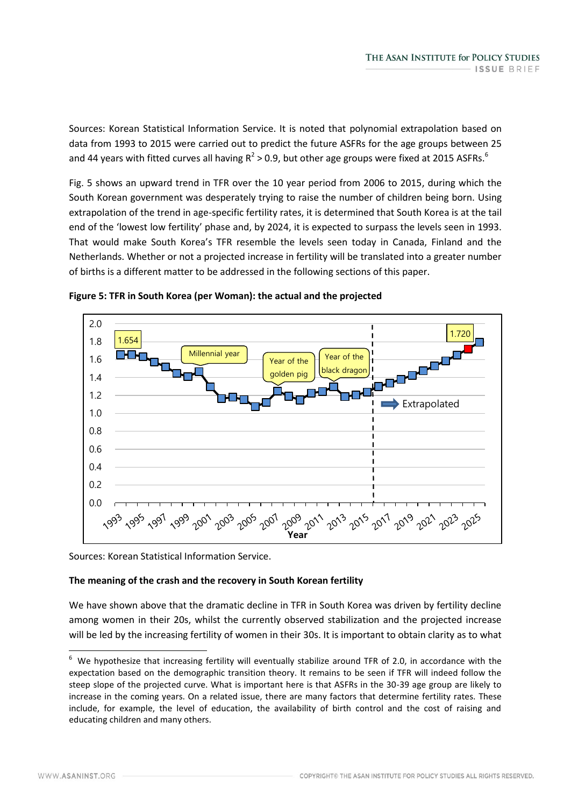Sources: Korean Statistical Information Service. It is noted that polynomial extrapolation based on data from 1993 to 2015 were carried out to predict the future ASFRs for the age groups between 25 and 44 years with fitted curves all having  $R^2 > 0.9$ , but other age groups were fixed at 2015 ASFRs.<sup>6</sup>

Fig. 5 shows an upward trend in TFR over the 10 year period from 2006 to 2015, during which the South Korean government was desperately trying to raise the number of children being born. Using extrapolation of the trend in age-specific fertility rates, it is determined that South Korea is at the tail end of the 'lowest low fertility' phase and, by 2024, it is expected to surpass the levels seen in 1993. That would make South Korea's TFR resemble the levels seen today in Canada, Finland and the Netherlands. Whether or not a projected increase in fertility will be translated into a greater number of births is a different matter to be addressed in the following sections of this paper.



**Figure 5: TFR in South Korea (per Woman): the actual and the projected**

Sources: Korean Statistical Information Service.

# **The meaning of the crash and the recovery in South Korean fertility**

We have shown above that the dramatic decline in TFR in South Korea was driven by fertility decline among women in their 20s, whilst the currently observed stabilization and the projected increase will be led by the increasing fertility of women in their 30s. It is important to obtain clarity as to what

 $6\,$  We hypothesize that increasing fertility will eventually stabilize around TFR of 2.0, in accordance with the expectation based on the demographic transition theory. It remains to be seen if TFR will indeed follow the steep slope of the projected curve. What is important here is that ASFRs in the 30-39 age group are likely to increase in the coming years. On a related issue, there are many factors that determine fertility rates. These include, for example, the level of education, the availability of birth control and the cost of raising and educating children and many others.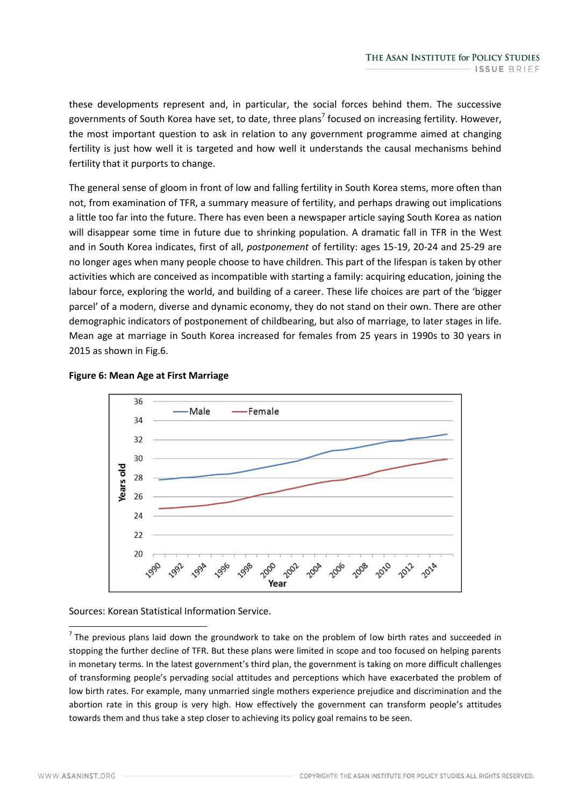these developments represent and, in particular, the social forces behind them. The successive governments of South Korea have set, to date, three plans<sup>7</sup> focused on increasing fertility. However, the most important question to ask in relation to any government programme aimed at changing fertility is just how well it is targeted and how well it understands the causal mechanisms behind fertility that it purports to change.

The general sense of gloom in front of low and falling fertility in South Korea stems, more often than not, from examination of TFR, a summary measure of fertility, and perhaps drawing out implications a little too far into the future. There has even been a newspaper article saying South Korea as nation will disappear some time in future due to shrinking population. A dramatic fall in TFR in the West and in South Korea indicates, first of all, *postponement* of fertility: ages 15-19, 20-24 and 25-29 are no longer ages when many people choose to have children. This part of the lifespan is taken by other activities which are conceived as incompatible with starting a family: acquiring education, joining the labour force, exploring the world, and building of a career. These life choices are part of the 'bigger parcel' of a modern, diverse and dynamic economy, they do not stand on their own. There are other demographic indicators of postponement of childbearing, but also of marriage, to later stages in life. Mean age at marriage in South Korea increased for females from 25 years in 1990s to 30 years in 2015 as shown in Fig.6.



# **Figure 6: Mean Age at First Marriage**

Sources: Korean Statistical Information Service.

 $<sup>7</sup>$  The previous plans laid down the groundwork to take on the problem of low birth rates and succeeded in</sup> stopping the further decline of TFR. But these plans were limited in scope and too focused on helping parents in monetary terms. In the latest government's third plan, the government is taking on more difficult challenges of transforming people's pervading social attitudes and perceptions which have exacerbated the problem of low birth rates. For example, many unmarried single mothers experience prejudice and discrimination and the abortion rate in this group is very high. How effectively the government can transform people's attitudes towards them and thus take a step closer to achieving its policy goal remains to be seen.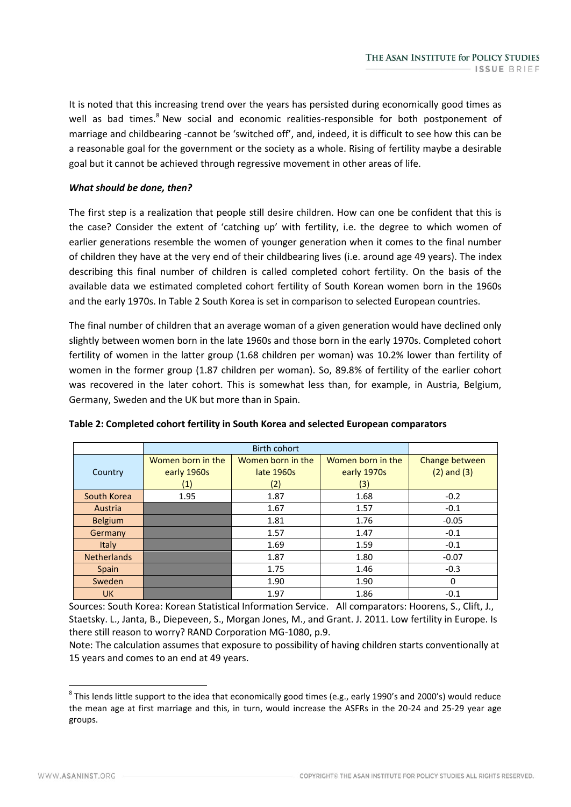It is noted that this increasing trend over the years has persisted during economically good times as well as bad times.<sup>8</sup> New social and economic realities-responsible for both postponement of marriage and childbearing -cannot be 'switched off', and, indeed, it is difficult to see how this can be a reasonable goal for the government or the society as a whole. Rising of fertility maybe a desirable goal but it cannot be achieved through regressive movement in other areas of life.

## *What should be done, then?*

The first step is a realization that people still desire children. How can one be confident that this is the case? Consider the extent of 'catching up' with fertility, i.e. the degree to which women of earlier generations resemble the women of younger generation when it comes to the final number of children they have at the very end of their childbearing lives (i.e. around age 49 years). The index describing this final number of children is called completed cohort fertility. On the basis of the available data we estimated completed cohort fertility of South Korean women born in the 1960s and the early 1970s. In Table 2 South Korea is set in comparison to selected European countries.

The final number of children that an average woman of a given generation would have declined only slightly between women born in the late 1960s and those born in the early 1970s. Completed cohort fertility of women in the latter group (1.68 children per woman) was 10.2% lower than fertility of women in the former group (1.87 children per woman). So, 89.8% of fertility of the earlier cohort was recovered in the later cohort. This is somewhat less than, for example, in Austria, Belgium, Germany, Sweden and the UK but more than in Spain.

| Country            | Women born in the<br>early 1960s | Women born in the<br>late 1960s | Women born in the<br>early 1970s | Change between<br>$(2)$ and $(3)$ |
|--------------------|----------------------------------|---------------------------------|----------------------------------|-----------------------------------|
|                    | (1)                              | (2)                             | (3)                              |                                   |
| South Korea        | 1.95                             | 1.87                            | 1.68                             | $-0.2$                            |
| Austria            |                                  | 1.67                            | 1.57                             | $-0.1$                            |
| <b>Belgium</b>     |                                  | 1.81                            | 1.76                             | $-0.05$                           |
| Germany            |                                  | 1.57                            | 1.47                             | $-0.1$                            |
| Italy              |                                  | 1.69                            | 1.59                             | $-0.1$                            |
| <b>Netherlands</b> |                                  | 1.87                            | 1.80                             | $-0.07$                           |
| Spain              |                                  | 1.75                            | 1.46                             | $-0.3$                            |
| Sweden             |                                  | 1.90                            | 1.90                             | 0                                 |
| <b>UK</b>          |                                  | 1.97                            | 1.86                             | $-0.1$                            |

**Table 2: Completed cohort fertility in South Korea and selected European comparators**

Sources: South Korea: Korean Statistical Information Service. All comparators: Hoorens, S., Clift, J., Staetsky. L., Janta, B., Diepeveen, S., Morgan Jones, M., and Grant. J. 2011. Low fertility in Europe. Is there still reason to worry? RAND Corporation MG-1080, p.9.

Note: The calculation assumes that exposure to possibility of having children starts conventionally at 15 years and comes to an end at 49 years.

<sup>-</sup> $^8$  This lends little support to the idea that economically good times (e.g., early 1990's and 2000's) would reduce the mean age at first marriage and this, in turn, would increase the ASFRs in the 20-24 and 25-29 year age groups.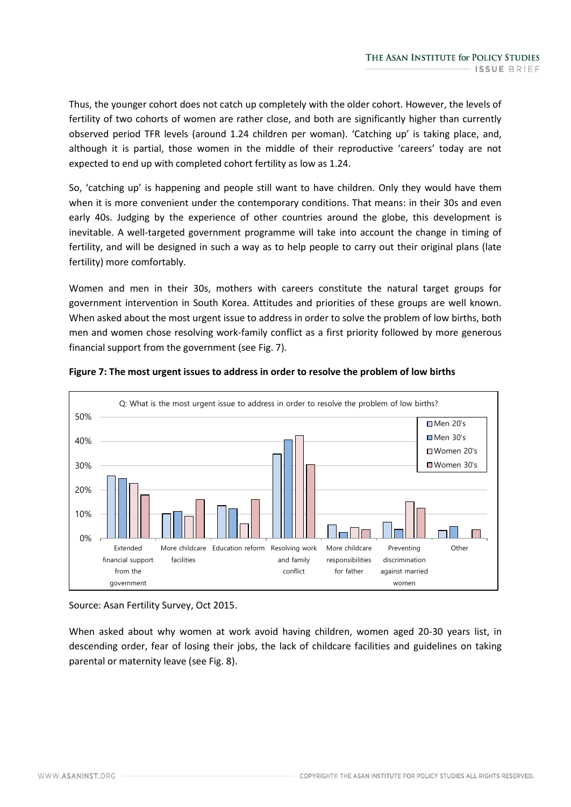Thus, the younger cohort does not catch up completely with the older cohort. However, the levels of fertility of two cohorts of women are rather close, and both are significantly higher than currently observed period TFR levels (around 1.24 children per woman). 'Catching up' is taking place, and, although it is partial, those women in the middle of their reproductive 'careers' today are not expected to end up with completed cohort fertility as low as 1.24.

So, 'catching up' is happening and people still want to have children. Only they would have them when it is more convenient under the contemporary conditions. That means: in their 30s and even early 40s. Judging by the experience of other countries around the globe, this development is inevitable. A well-targeted government programme will take into account the change in timing of fertility, and will be designed in such a way as to help people to carry out their original plans (late fertility) more comfortably.

Women and men in their 30s, mothers with careers constitute the natural target groups for government intervention in South Korea. Attitudes and priorities of these groups are well known. When asked about the most urgent issue to address in order to solve the problem of low births, both men and women chose resolving work-family conflict as a first priority followed by more generous financial support from the government (see Fig. 7).



#### **Figure 7: The most urgent issues to address in order to resolve the problem of low births**

Source: Asan Fertility Survey, Oct 2015.

When asked about why women at work avoid having children, women aged 20-30 years list, in descending order, fear of losing their jobs, the lack of childcare facilities and guidelines on taking parental or maternity leave (see Fig. 8).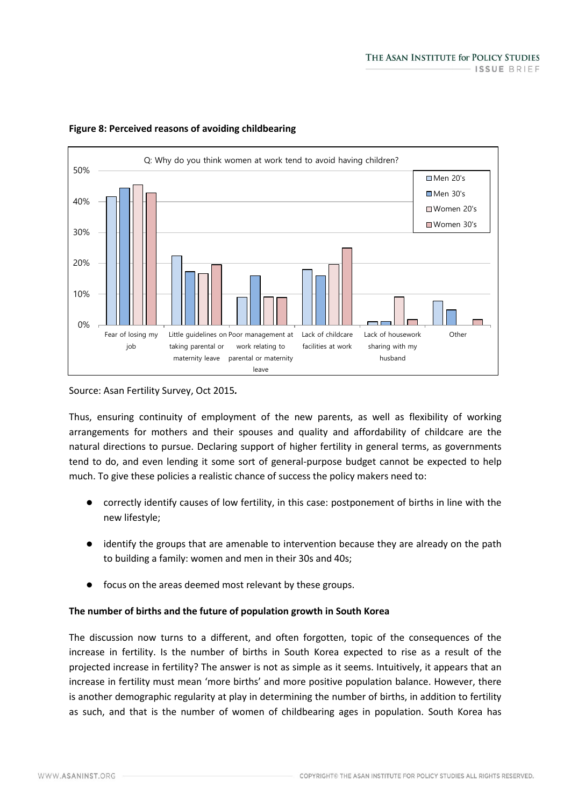

# **Figure 8: Perceived reasons of avoiding childbearing**

Source: Asan Fertility Survey, Oct 2015*.*

Thus, ensuring continuity of employment of the new parents, as well as flexibility of working arrangements for mothers and their spouses and quality and affordability of childcare are the natural directions to pursue. Declaring support of higher fertility in general terms, as governments tend to do, and even lending it some sort of general-purpose budget cannot be expected to help much. To give these policies a realistic chance of success the policy makers need to:

- correctly identify causes of low fertility, in this case: postponement of births in line with the new lifestyle;
- identify the groups that are amenable to intervention because they are already on the path to building a family: women and men in their 30s and 40s;
- focus on the areas deemed most relevant by these groups.

# **The number of births and the future of population growth in South Korea**

The discussion now turns to a different, and often forgotten, topic of the consequences of the increase in fertility. Is the number of births in South Korea expected to rise as a result of the projected increase in fertility? The answer is not as simple as it seems. Intuitively, it appears that an increase in fertility must mean 'more births' and more positive population balance. However, there is another demographic regularity at play in determining the number of births, in addition to fertility as such, and that is the number of women of childbearing ages in population. South Korea has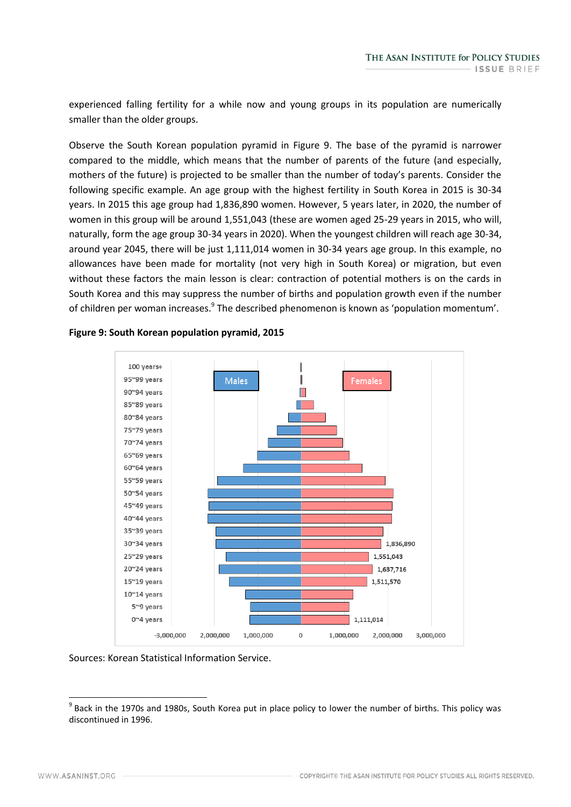experienced falling fertility for a while now and young groups in its population are numerically smaller than the older groups.

Observe the South Korean population pyramid in Figure 9. The base of the pyramid is narrower compared to the middle, which means that the number of parents of the future (and especially, mothers of the future) is projected to be smaller than the number of today's parents. Consider the following specific example. An age group with the highest fertility in South Korea in 2015 is 30-34 years. In 2015 this age group had 1,836,890 women. However, 5 years later, in 2020, the number of women in this group will be around 1,551,043 (these are women aged 25-29 years in 2015, who will, naturally, form the age group 30-34 years in 2020). When the youngest children will reach age 30-34, around year 2045, there will be just 1,111,014 women in 30-34 years age group. In this example, no allowances have been made for mortality (not very high in South Korea) or migration, but even without these factors the main lesson is clear: contraction of potential mothers is on the cards in South Korea and this may suppress the number of births and population growth even if the number of children per woman increases.<sup>9</sup> The described phenomenon is known as 'population momentum'.



## **Figure 9: South Korean population pyramid, 2015**

Sources: Korean Statistical Information Service.

<sup>&</sup>lt;sup>9</sup> Back in the 1970s and 1980s, South Korea put in place policy to lower the number of births. This policy was discontinued in 1996.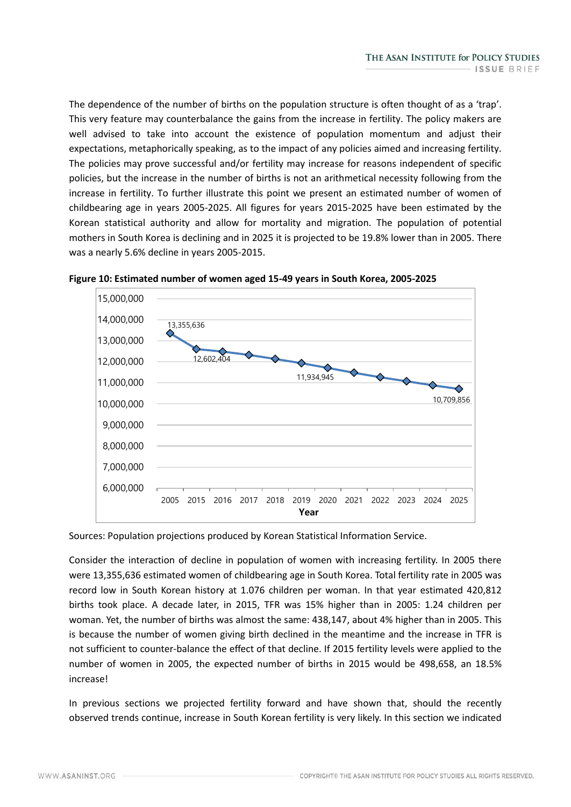The dependence of the number of births on the population structure is often thought of as a 'trap'. This very feature may counterbalance the gains from the increase in fertility. The policy makers are well advised to take into account the existence of population momentum and adjust their expectations, metaphorically speaking, as to the impact of any policies aimed and increasing fertility. The policies may prove successful and/or fertility may increase for reasons independent of specific policies, but the increase in the number of births is not an arithmetical necessity following from the increase in fertility. To further illustrate this point we present an estimated number of women of childbearing age in years 2005-2025. All figures for years 2015-2025 have been estimated by the Korean statistical authority and allow for mortality and migration. The population of potential mothers in South Korea is declining and in 2025 it is projected to be 19.8% lower than in 2005. There was a nearly 5.6% decline in years 2005-2015.



**Figure 10: Estimated number of women aged 15-49 years in South Korea, 2005-2025**

Sources: Population projections produced by Korean Statistical Information Service.

Consider the interaction of decline in population of women with increasing fertility. In 2005 there were 13,355,636 estimated women of childbearing age in South Korea. Total fertility rate in 2005 was record low in South Korean history at 1.076 children per woman. In that year estimated 420,812 births took place. A decade later, in 2015, TFR was 15% higher than in 2005: 1.24 children per woman. Yet, the number of births was almost the same: 438,147, about 4% higher than in 2005. This is because the number of women giving birth declined in the meantime and the increase in TFR is not sufficient to counter-balance the effect of that decline. If 2015 fertility levels were applied to the number of women in 2005, the expected number of births in 2015 would be 498,658, an 18.5% increase!

In previous sections we projected fertility forward and have shown that, should the recently observed trends continue, increase in South Korean fertility is very likely. In this section we indicated